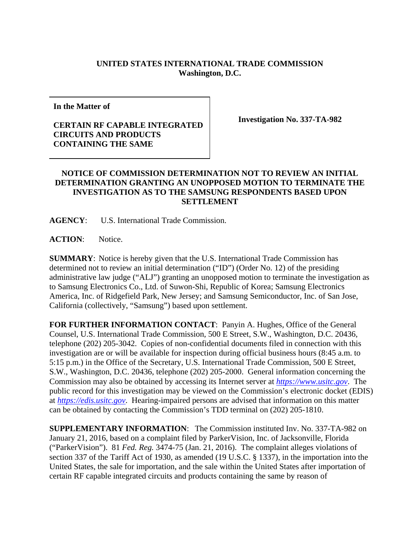## **UNITED STATES INTERNATIONAL TRADE COMMISSION Washington, D.C.**

**In the Matter of** 

## **CERTAIN RF CAPABLE INTEGRATED CIRCUITS AND PRODUCTS CONTAINING THE SAME**

**Investigation No. 337-TA-982** 

## **NOTICE OF COMMISSION DETERMINATION NOT TO REVIEW AN INITIAL DETERMINATION GRANTING AN UNOPPOSED MOTION TO TERMINATE THE INVESTIGATION AS TO THE SAMSUNG RESPONDENTS BASED UPON SETTLEMENT**

**AGENCY**: U.S. International Trade Commission.

**ACTION**: Notice.

**SUMMARY**: Notice is hereby given that the U.S. International Trade Commission has determined not to review an initial determination ("ID") (Order No. 12) of the presiding administrative law judge ("ALJ") granting an unopposed motion to terminate the investigation as to Samsung Electronics Co., Ltd. of Suwon-Shi, Republic of Korea; Samsung Electronics America, Inc. of Ridgefield Park, New Jersey; and Samsung Semiconductor, Inc. of San Jose, California (collectively, "Samsung") based upon settlement.

**FOR FURTHER INFORMATION CONTACT**: Panyin A. Hughes, Office of the General Counsel, U.S. International Trade Commission, 500 E Street, S.W., Washington, D.C. 20436, telephone (202) 205-3042. Copies of non-confidential documents filed in connection with this investigation are or will be available for inspection during official business hours (8:45 a.m. to 5:15 p.m.) in the Office of the Secretary, U.S. International Trade Commission, 500 E Street, S.W., Washington, D.C. 20436, telephone (202) 205-2000. General information concerning the Commission may also be obtained by accessing its Internet server at *https://www.usitc.gov*. The public record for this investigation may be viewed on the Commission's electronic docket (EDIS) at *https://edis.usitc.gov*. Hearing-impaired persons are advised that information on this matter can be obtained by contacting the Commission's TDD terminal on (202) 205-1810.

**SUPPLEMENTARY INFORMATION**: The Commission instituted Inv. No. 337-TA-982 on January 21, 2016, based on a complaint filed by ParkerVision, Inc. of Jacksonville, Florida ("ParkerVision"). 81 *Fed. Reg.* 3474-75 (Jan. 21, 2016). The complaint alleges violations of section 337 of the Tariff Act of 1930, as amended (19 U.S.C. § 1337), in the importation into the United States, the sale for importation, and the sale within the United States after importation of certain RF capable integrated circuits and products containing the same by reason of